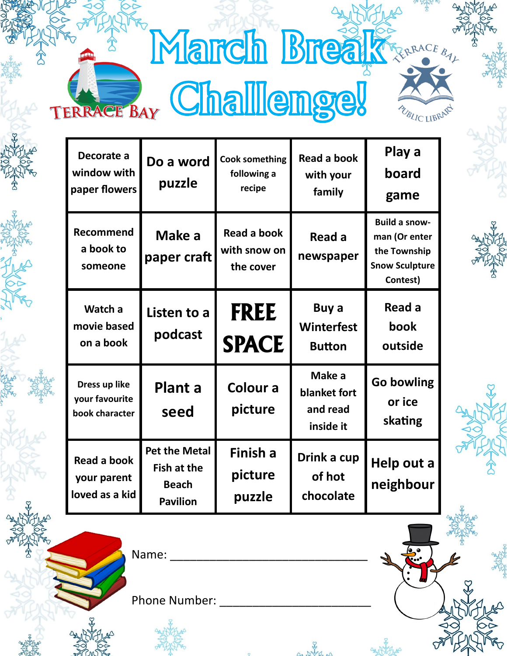| <b>March Breaktraces</b> |  |
|--------------------------|--|
| TERRACE BAY Challenge!   |  |

| Decorate a<br>window with<br>paper flowers        | Do a word<br>puzzle                                                           | <b>Cook something</b><br>following a<br>recipe | <b>Read a book</b><br>with your<br>family       | Play a<br>board<br>game                                                                    |
|---------------------------------------------------|-------------------------------------------------------------------------------|------------------------------------------------|-------------------------------------------------|--------------------------------------------------------------------------------------------|
| <b>Recommend</b><br>a book to<br>someone          | Make a<br>paper craft                                                         | Read a book<br>with snow on<br>the cover       | Read a<br>newspaper                             | <b>Build a snow-</b><br>man (Or enter<br>the Township<br><b>Snow Sculpture</b><br>Contest) |
| Watch a<br>movie based<br>on a book               | Listen to a<br>podcast                                                        | <b>FREE</b><br><b>SPACE</b>                    | Buy a<br>Winterfest<br><b>Button</b>            | Read a<br>book<br>outside                                                                  |
| Dress up like<br>your favourite<br>book character | <b>Plant a</b><br>seed                                                        | Colour a<br>picture                            | Make a<br>blanket fort<br>and read<br>inside it | <b>Go bowling</b><br>or ice<br>skating                                                     |
| Read a book<br>your parent<br>loved as a kid      | <b>Pet the Metal</b><br><b>Fish at the</b><br><b>Beach</b><br><b>Pavilion</b> | Finish a<br>picture<br>puzzle                  | Drink a cup<br>of hot<br>chocolate              | Help out a<br>neighbour                                                                    |

 $\bullet$ 

Name: \_\_\_\_\_\_\_\_\_\_\_\_\_\_\_\_\_\_\_\_\_\_\_\_\_\_\_\_\_\_

Phone Number: \_\_\_\_\_\_\_\_\_\_\_\_\_\_\_\_\_\_\_\_\_\_\_